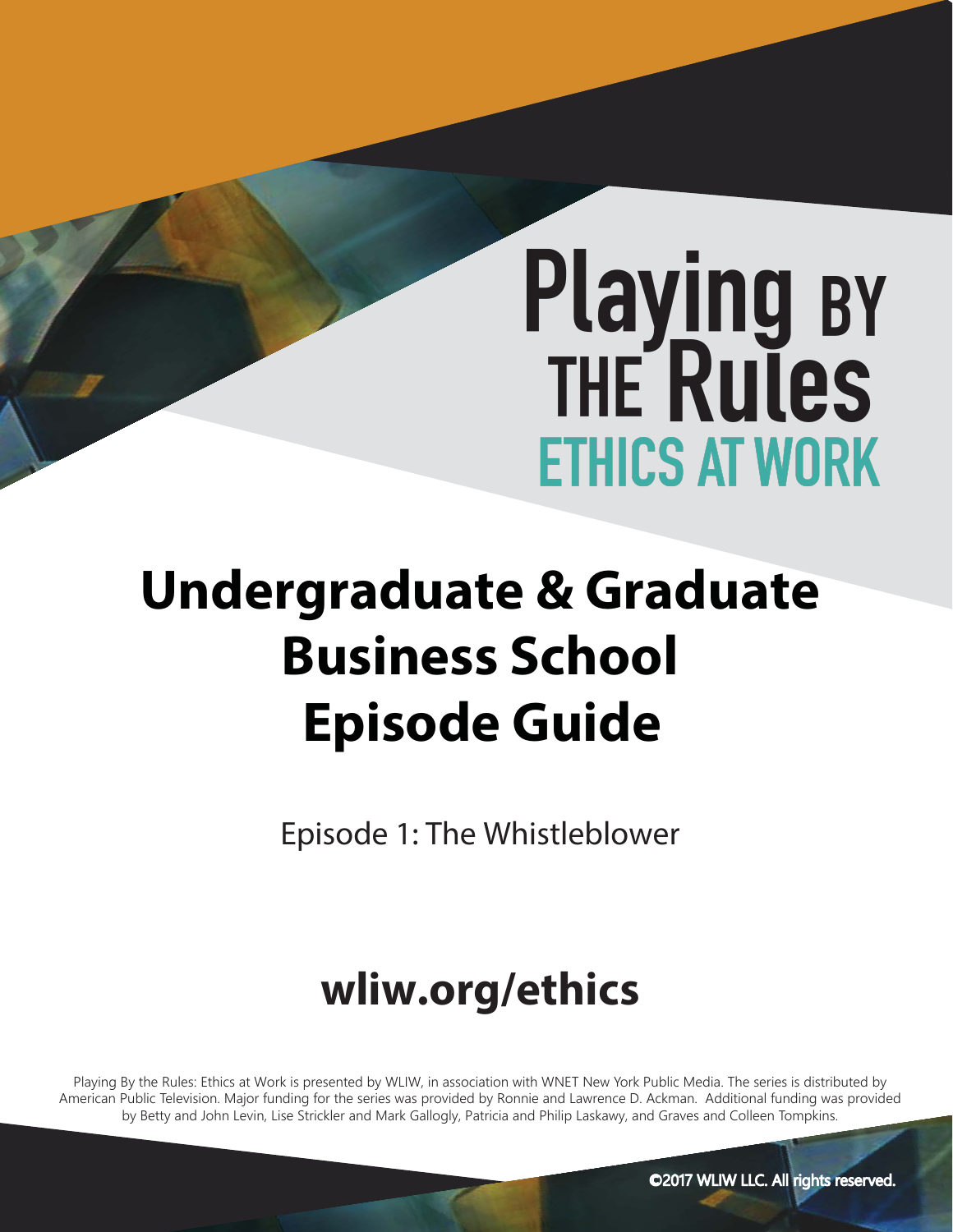# **Playing BY<br>THE Rules ETHICS AT WORK**

# **Undergraduate & Graduate Business School Episode Guide**

Episode 1: The Whistleblower

# **wliw.org/ethics**

Playing By the Rules: Ethics at Work is presented by WLIW, in association with WNET New York Public Media. The series is distributed by American Public Television. Major funding for the series was provided by Ronnie and Lawrence D. Ackman. Additional funding was provided by Betty and John Levin, Lise Strickler and Mark Gallogly, Patricia and Philip Laskawy, and Graves and Colleen Tompkins.

©2017 WLIW LLC. All rights reserved.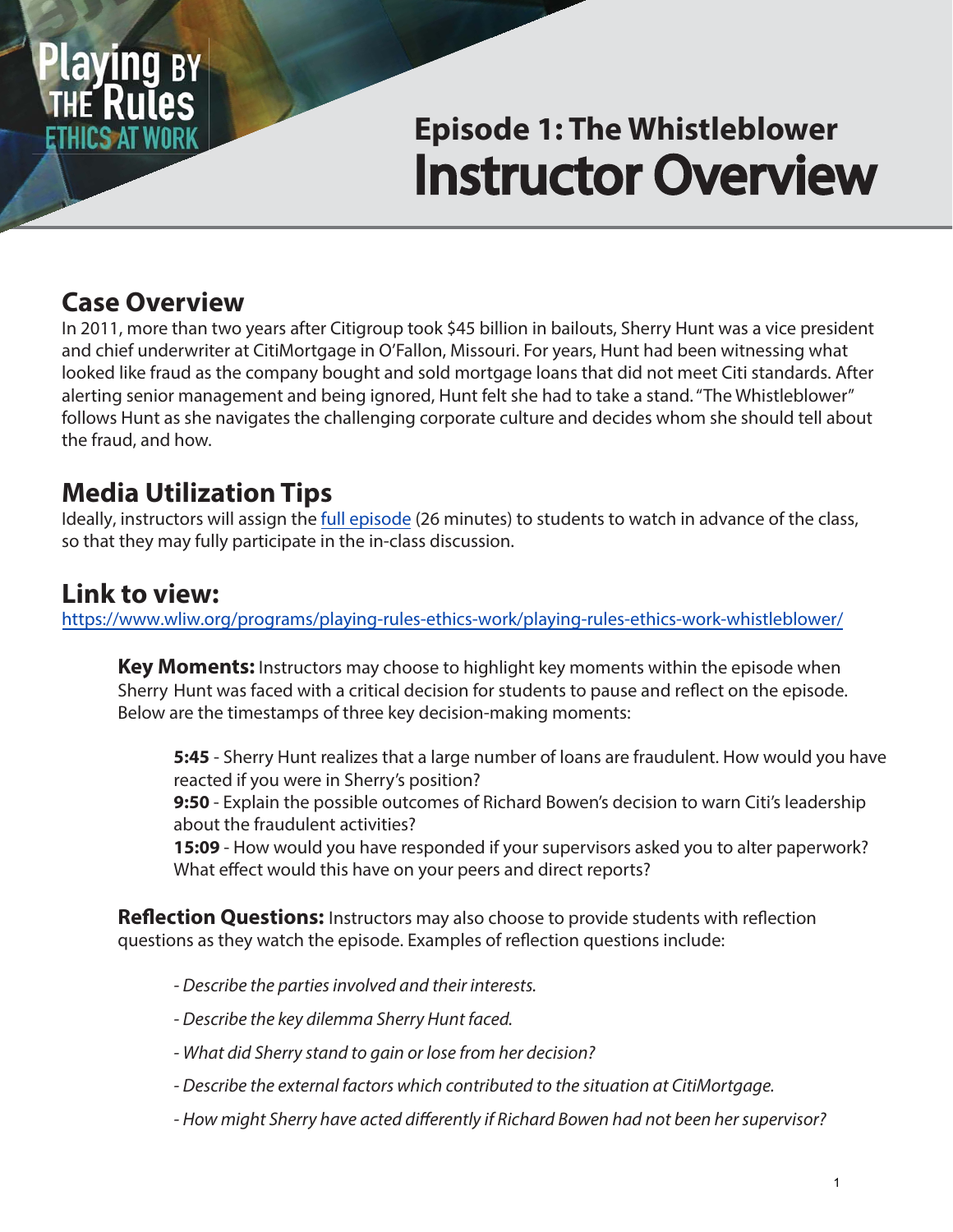

# Instructor Overview **Episode 1: The Whistleblower**

## **Case Overview**

In 2011, more than two years after Citigroup took \$45 billion in bailouts, Sherry Hunt was a vice president and chief underwriter at CitiMortgage in O'Fallon, Missouri. For years, Hunt had been witnessing what looked like fraud as the company bought and sold mortgage loans that did not meet Citi standards. After alerting senior management and being ignored, Hunt felt she had to take a stand. "The Whistleblower" follows Hunt as she navigates the challenging corporate culture and decides whom she should tell about the fraud, and how.

## **Media Utilization Tips**

Ideally, instructors will assign the [full episode](https://www.wliw.org/programs/playing-rules-ethics-work/playing-rules-ethics-work-whistleblower/) (26 minutes) to students to watch in advance of the class, so that they may fully participate in the in-class discussion.

### **Link to view:**

[https://www.wliw.org/programs/playing-rules-ethics-work/playing-rules-ethics-work-whistleblower](https://www.wliw.org/programs/playing-rules-ethics-work/playing-rules-ethics-work-whistleblower/)/

**Key Moments:** Instructors may choose to highlight key moments within the episode when Sherry Hunt was faced with a critical decision for students to pause and reflect on the episode. Below are the timestamps of three key decision-making moments:

**5:45** - Sherry Hunt realizes that a large number of loans are fraudulent. How would you have reacted if you were in Sherry's position?

**9:50** - Explain the possible outcomes of Richard Bowen's decision to warn Citi's leadership about the fraudulent activities?

**15:09** - How would you have responded if your supervisors asked you to alter paperwork? What effect would this have on your peers and direct reports?

**Reflection Questions:** Instructors may also choose to provide students with reflection questions as they watch the episode. Examples of reflection questions include:

- Describe the parties involved and their interests.
- Describe the key dilemma Sherry Hunt faced.
- What did Sherry stand to gain or lose from her decision?
- Describe the external factors which contributed to the situation at CitiMortgage.
- How might Sherry have acted differently if Richard Bowen had not been her supervisor?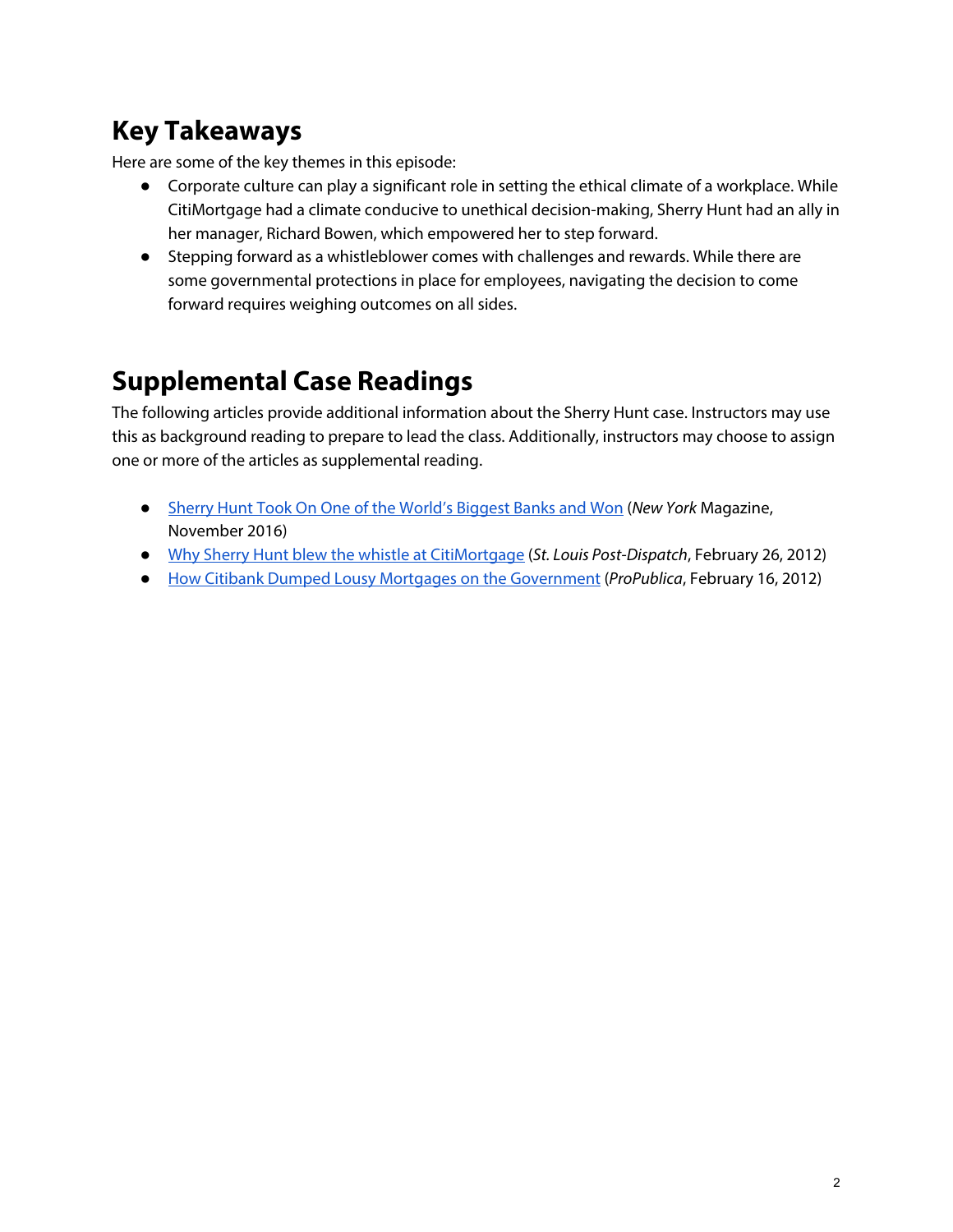# **Key Takeaways**

Here are some of the key themes in this episode:

- Corporate culture can play a significant role in setting the ethical climate of a workplace. While CitiMortgage had a climate conducive to unethical decision-making, Sherry Hunt had an ally in her manager, Richard Bowen, which empowered her to step forward.
- Stepping forward as a whistleblower comes with challenges and rewards. While there are some governmental protections in place for employees, navigating the decision to come forward requires weighing outcomes on all sides.

# **Supplemental Case Readings**

The following articles provide additional information about the Sherry Hunt case. Instructors may use this as background reading to prepare to lead the class. Additionally, instructors may choose to assign one or more of the articles as supplemental reading.

- [Sherry Hunt Took On One of the World's Biggest Banks and Won](http://nymag.com/vindicated/2016/11/sherry-hunt-took-on-one-of-the-worlds-biggest-banks-and-won.html) (New York Magazine, November 2016)
- [Why Sherry Hunt blew the whistle at CitiMortgage \(](http://www.stltoday.com/business/local/why-sherry-hunt-blew-the-whistle-at-citimortgage/article_6fd9a0f6-5e3d-11e1-b5f2-0019bb30f31a.html)St. Louis Post-Dispatch, February 26, 2012)
- [How Citibank Dumped Lousy Mortgages on the Government \(](https://www.propublica.org/article/how-citibank-dumped-lousy-mortgages-on-the-government)ProPublica, February 16, 2012)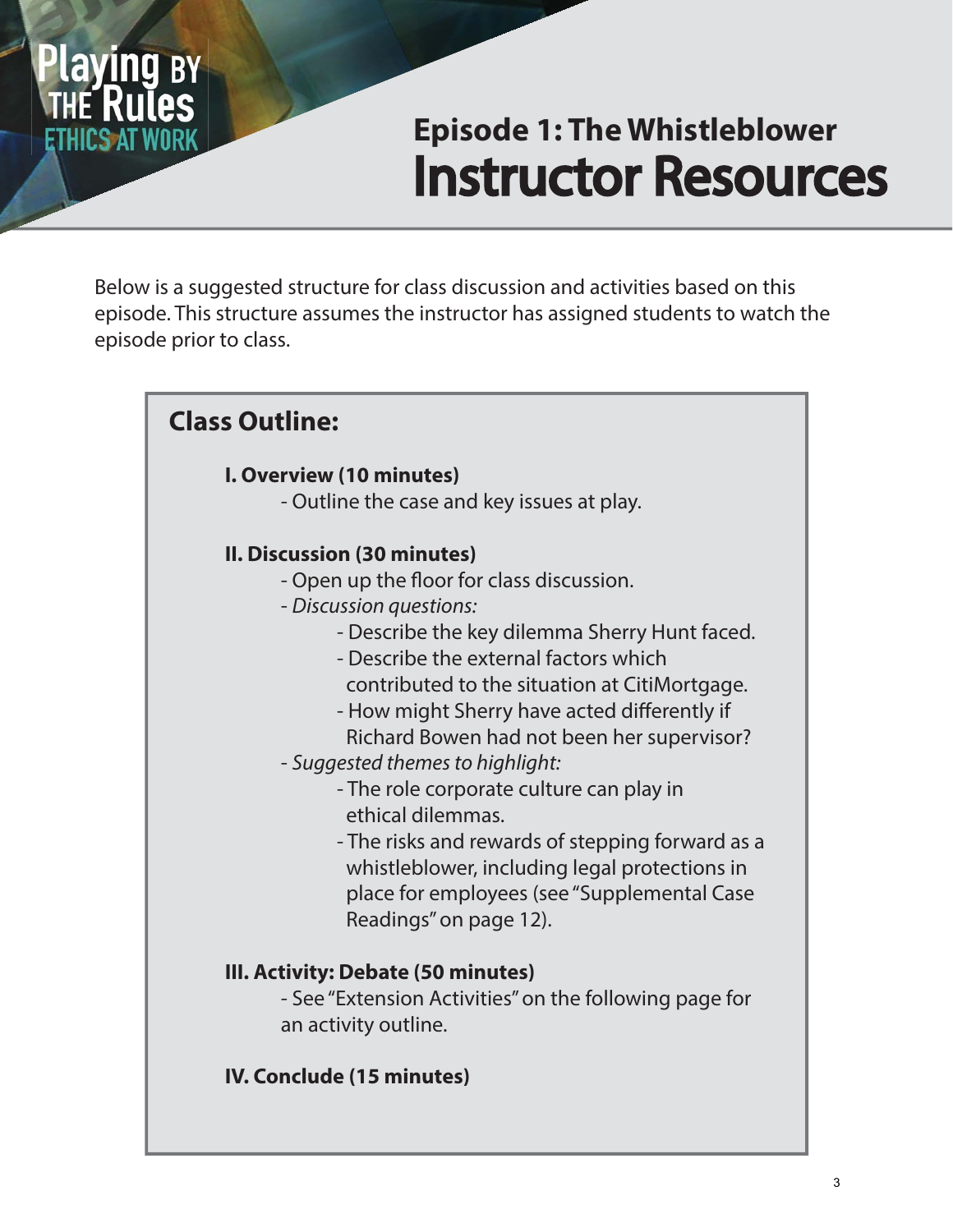

# Instructor Resources **Episode 1: The Whistleblower**

Below is a suggested structure for class discussion and activities based on this episode. This structure assumes the instructor has assigned students to watch the episode prior to class.

# **Class Outline:**

#### **I. Overview (10 minutes)**

- Outline the case and key issues at play.

#### **II. Discussion (30 minutes)**

- Open up the floor for class discussion.
- *Discussion questions:*
	- Describe the key dilemma Sherry Hunt faced.
	- Describe the external factors which
	- contributed to the situation at CitiMortgage.
	- How might Sherry have acted differently if Richard Bowen had not been her supervisor?
- *Suggested themes to highlight:*
	- The role corporate culture can play in ethical dilemmas.
	- The risks and rewards of stepping forward as a whistleblower, including legal protections in place for employees (see "Supplemental Case Readings" on page 12).

#### **III. Activity: Debate (50 minutes)**

- See "Extension Activities" on the following page for an activity outline.

#### **IV. Conclude (15 minutes)**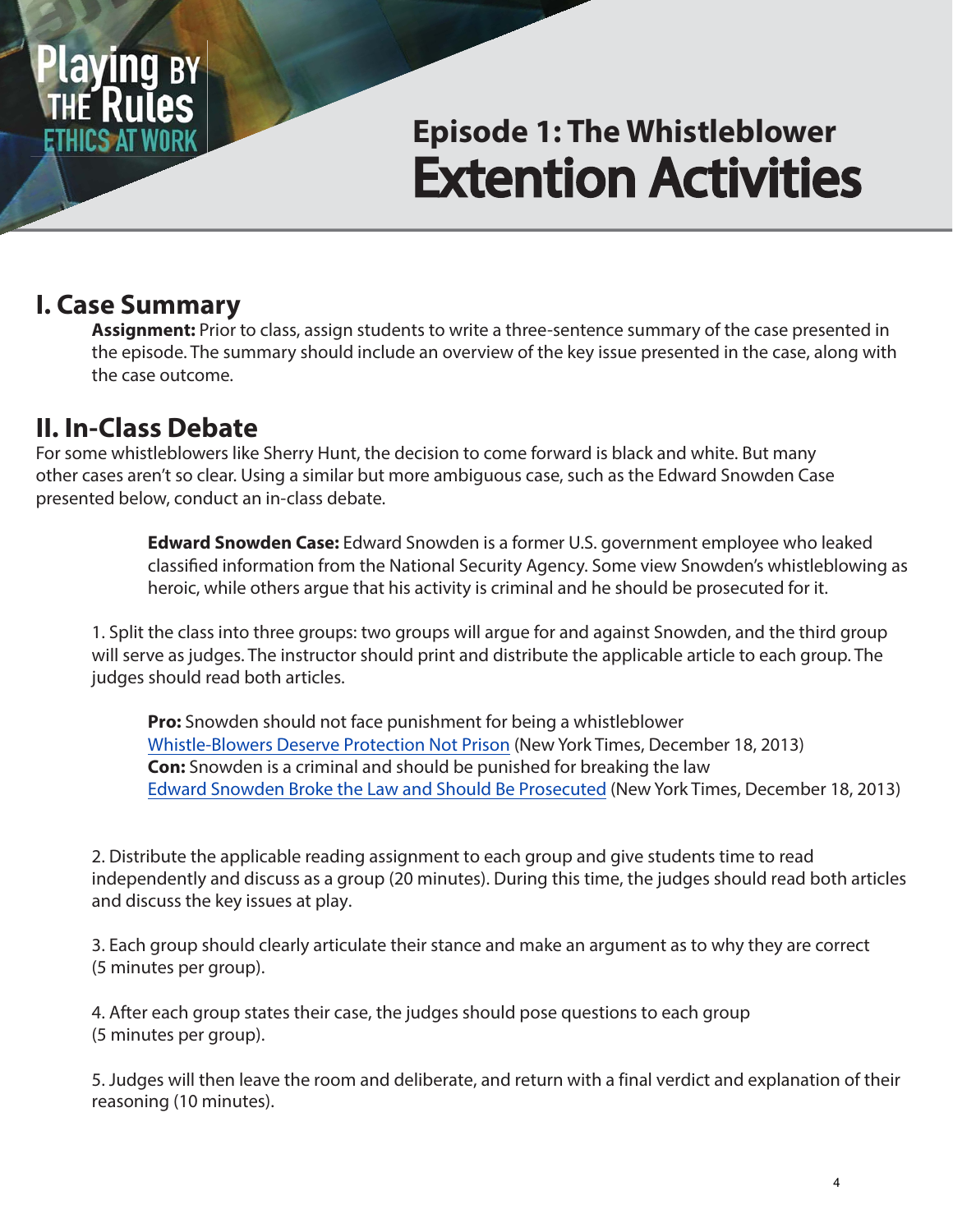

# Extention Activities **Episode 1: The Whistleblower**

## **I. Case Summary**

 **Assignment:** Prior to class, assign students to write a three-sentence summary of the case presented in the episode. The summary should include an overview of the key issue presented in the case, along with the case outcome.

## **II. In-Class Debate**

For some whistleblowers like Sherry Hunt, the decision to come forward is black and white. But many other cases aren't so clear. Using a similar but more ambiguous case, such as the Edward Snowden Case presented below, conduct an in-class debate.

> **Edward Snowden Case:** Edward Snowden is a former U.S. government employee who leaked classified information from the National Security Agency. Some view Snowden's whistleblowing as heroic, while others argue that his activity is criminal and he should be prosecuted for it.

1. Split the class into three groups: two groups will argue for and against Snowden, and the third group will serve as judges. The instructor should print and distribute the applicable article to each group. The judges should read both articles.

**Pro:** Snowden should not face punishment for being a whistleblower [Whistle-Blowers Deserve Protection Not Prison \(](https://www.nytimes.com/roomfordebate/2013/06/11/in-nsa-leak-case-a-whistle-blower-or-a-criminal/whistle-blowers-deserve-protection-not-prison)New York Times, December 18, 2013) **Con:** Snowden is a criminal and should be punished for breaking the law [Edward Snowden Broke the Law and Should Be Prosecuted \(](https://www.nytimes.com/roomfordebate/2013/06/11/in-nsa-leak-case-a-whistle-blower-or-a-criminal/edward-snowden-broke-the-law-and-should-be-prosecuted)New York Times, December 18, 2013)

2. Distribute the applicable reading assignment to each group and give students time to read independently and discuss as a group (20 minutes). During this time, the judges should read both articles and discuss the key issues at play.

3. Each group should clearly articulate their stance and make an argument as to why they are correct (5 minutes per group).

4. After each group states their case, the judges should pose questions to each group (5 minutes per group).

5. Judges will then leave the room and deliberate, and return with a final verdict and explanation of their reasoning (10 minutes).